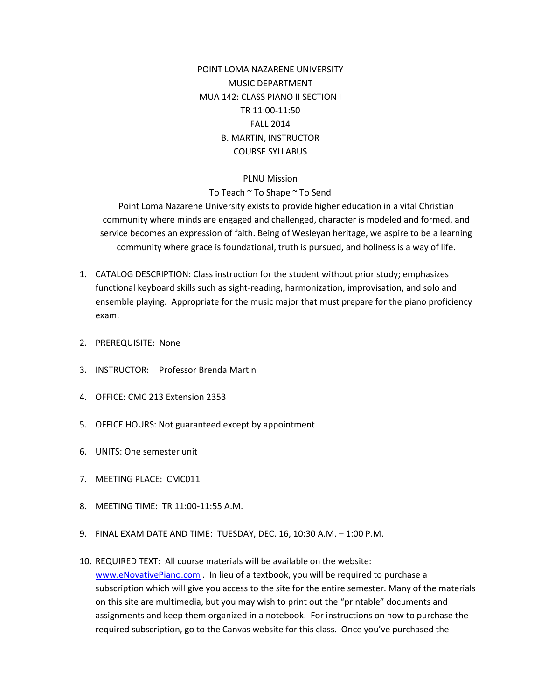POINT LOMA NAZARENE UNIVERSITY MUSIC DEPARTMENT MUA 142: CLASS PIANO II SECTION I TR 11:00-11:50 FALL 2014 B. MARTIN, INSTRUCTOR COURSE SYLLABUS

## PLNU Mission

To Teach ~ To Shape ~ To Send

Point Loma Nazarene University exists to provide higher education in a vital Christian community where minds are engaged and challenged, character is modeled and formed, and service becomes an expression of faith. Being of Wesleyan heritage, we aspire to be a learning community where grace is foundational, truth is pursued, and holiness is a way of life.

- 1. CATALOG DESCRIPTION: Class instruction for the student without prior study; emphasizes functional keyboard skills such as sight-reading, harmonization, improvisation, and solo and ensemble playing. Appropriate for the music major that must prepare for the piano proficiency exam.
- 2. PREREQUISITE: None
- 3. INSTRUCTOR: Professor Brenda Martin
- 4. OFFICE: CMC 213 Extension 2353
- 5. OFFICE HOURS: Not guaranteed except by appointment
- 6. UNITS: One semester unit
- 7. MEETING PLACE: CMC011
- 8. MEETING TIME: TR 11:00-11:55 A.M.
- 9. FINAL EXAM DATE AND TIME: TUESDAY, DEC. 16, 10:30 A.M. 1:00 P.M.
- 10. REQUIRED TEXT: All course materials will be available on the website: [www.eNovativePiano.com](http://www.enovativepiano.com/) . In lieu of a textbook, you will be required to purchase a subscription which will give you access to the site for the entire semester. Many of the materials on this site are multimedia, but you may wish to print out the "printable" documents and assignments and keep them organized in a notebook. For instructions on how to purchase the required subscription, go to the Canvas website for this class. Once you've purchased the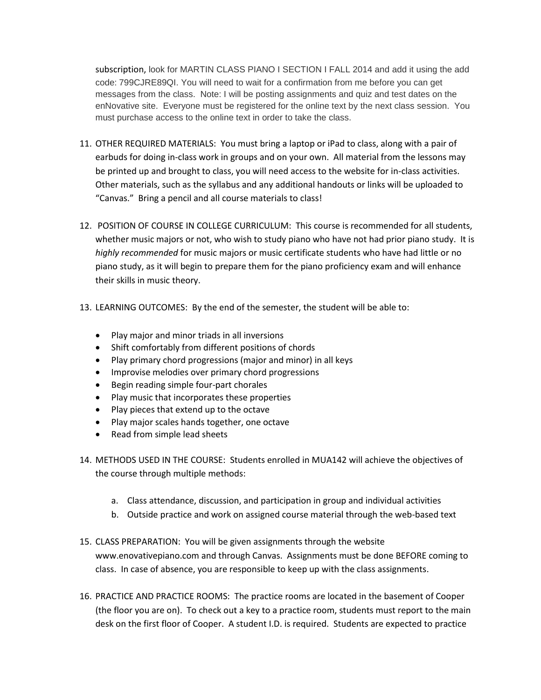subscription, look for MARTIN CLASS PIANO I SECTION I FALL 2014 and add it using the add code: 799CJRE89QI. You will need to wait for a confirmation from me before you can get messages from the class. Note: I will be posting assignments and quiz and test dates on the enNovative site. Everyone must be registered for the online text by the next class session. You must purchase access to the online text in order to take the class.

- 11. OTHER REQUIRED MATERIALS: You must bring a laptop or iPad to class, along with a pair of earbuds for doing in-class work in groups and on your own. All material from the lessons may be printed up and brought to class, you will need access to the website for in-class activities. Other materials, such as the syllabus and any additional handouts or links will be uploaded to "Canvas." Bring a pencil and all course materials to class!
- 12. POSITION OF COURSE IN COLLEGE CURRICULUM: This course is recommended for all students, whether music majors or not, who wish to study piano who have not had prior piano study. It is *highly recommended* for music majors or music certificate students who have had little or no piano study, as it will begin to prepare them for the piano proficiency exam and will enhance their skills in music theory.
- 13. LEARNING OUTCOMES: By the end of the semester, the student will be able to:
	- Play major and minor triads in all inversions
	- Shift comfortably from different positions of chords
	- Play primary chord progressions (major and minor) in all keys
	- Improvise melodies over primary chord progressions
	- Begin reading simple four-part chorales
	- Play music that incorporates these properties
	- Play pieces that extend up to the octave
	- Play major scales hands together, one octave
	- Read from simple lead sheets
- 14. METHODS USED IN THE COURSE: Students enrolled in MUA142 will achieve the objectives of the course through multiple methods:
	- a. Class attendance, discussion, and participation in group and individual activities
	- b. Outside practice and work on assigned course material through the web-based text
- 15. CLASS PREPARATION: You will be given assignments through the website www.enovativepiano.com and through Canvas. Assignments must be done BEFORE coming to class. In case of absence, you are responsible to keep up with the class assignments.
- 16. PRACTICE AND PRACTICE ROOMS: The practice rooms are located in the basement of Cooper (the floor you are on). To check out a key to a practice room, students must report to the main desk on the first floor of Cooper. A student I.D. is required. Students are expected to practice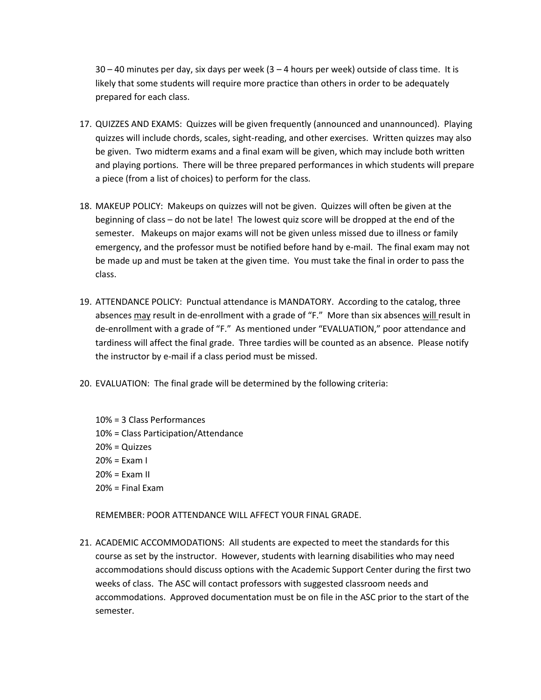$30 - 40$  minutes per day, six days per week  $(3 - 4$  hours per week) outside of class time. It is likely that some students will require more practice than others in order to be adequately prepared for each class.

- 17. QUIZZES AND EXAMS: Quizzes will be given frequently (announced and unannounced). Playing quizzes will include chords, scales, sight-reading, and other exercises. Written quizzes may also be given. Two midterm exams and a final exam will be given, which may include both written and playing portions. There will be three prepared performances in which students will prepare a piece (from a list of choices) to perform for the class.
- 18. MAKEUP POLICY: Makeups on quizzes will not be given. Quizzes will often be given at the beginning of class – do not be late! The lowest quiz score will be dropped at the end of the semester. Makeups on major exams will not be given unless missed due to illness or family emergency, and the professor must be notified before hand by e-mail. The final exam may not be made up and must be taken at the given time. You must take the final in order to pass the class.
- 19. ATTENDANCE POLICY: Punctual attendance is MANDATORY. According to the catalog, three absences may result in de-enrollment with a grade of "F." More than six absences will result in de-enrollment with a grade of "F." As mentioned under "EVALUATION," poor attendance and tardiness will affect the final grade. Three tardies will be counted as an absence. Please notify the instructor by e-mail if a class period must be missed.
- 20. EVALUATION: The final grade will be determined by the following criteria:
	- 10% = 3 Class Performances 10% = Class Participation/Attendance 20% = Quizzes 20% = Exam I  $20% =$  Exam II  $20% =$  Final Fxam

REMEMBER: POOR ATTENDANCE WILL AFFECT YOUR FINAL GRADE.

21. ACADEMIC ACCOMMODATIONS: All students are expected to meet the standards for this course as set by the instructor. However, students with learning disabilities who may need accommodations should discuss options with the Academic Support Center during the first two weeks of class. The ASC will contact professors with suggested classroom needs and accommodations. Approved documentation must be on file in the ASC prior to the start of the semester.